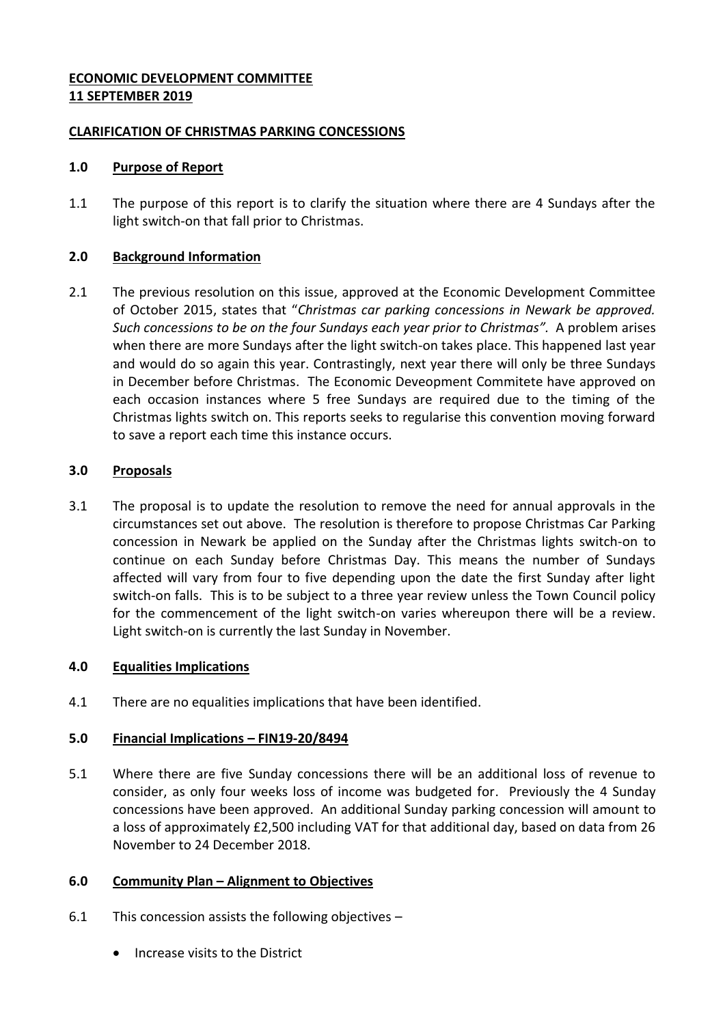## **ECONOMIC DEVELOPMENT COMMITTEE 11 SEPTEMBER 2019**

### **CLARIFICATION OF CHRISTMAS PARKING CONCESSIONS**

#### **1.0 Purpose of Report**

1.1 The purpose of this report is to clarify the situation where there are 4 Sundays after the light switch-on that fall prior to Christmas.

## **2.0 Background Information**

2.1 The previous resolution on this issue, approved at the Economic Development Committee of October 2015, states that "*Christmas car parking concessions in Newark be approved. Such concessions to be on the four Sundays each year prior to Christmas".* A problem arises when there are more Sundays after the light switch-on takes place. This happened last year and would do so again this year. Contrastingly, next year there will only be three Sundays in December before Christmas. The Economic Deveopment Commitete have approved on each occasion instances where 5 free Sundays are required due to the timing of the Christmas lights switch on. This reports seeks to regularise this convention moving forward to save a report each time this instance occurs.

## **3.0 Proposals**

3.1 The proposal is to update the resolution to remove the need for annual approvals in the circumstances set out above. The resolution is therefore to propose Christmas Car Parking concession in Newark be applied on the Sunday after the Christmas lights switch-on to continue on each Sunday before Christmas Day. This means the number of Sundays affected will vary from four to five depending upon the date the first Sunday after light switch-on falls. This is to be subject to a three year review unless the Town Council policy for the commencement of the light switch-on varies whereupon there will be a review. Light switch-on is currently the last Sunday in November.

#### **4.0 Equalities Implications**

4.1 There are no equalities implications that have been identified.

# **5.0 Financial Implications – FIN19-20/8494**

5.1 Where there are five Sunday concessions there will be an additional loss of revenue to consider, as only four weeks loss of income was budgeted for. Previously the 4 Sunday concessions have been approved. An additional Sunday parking concession will amount to a loss of approximately £2,500 including VAT for that additional day, based on data from 26 November to 24 December 2018.

#### **6.0 Community Plan – Alignment to Objectives**

- 6.1 This concession assists the following objectives
	- Increase visits to the District